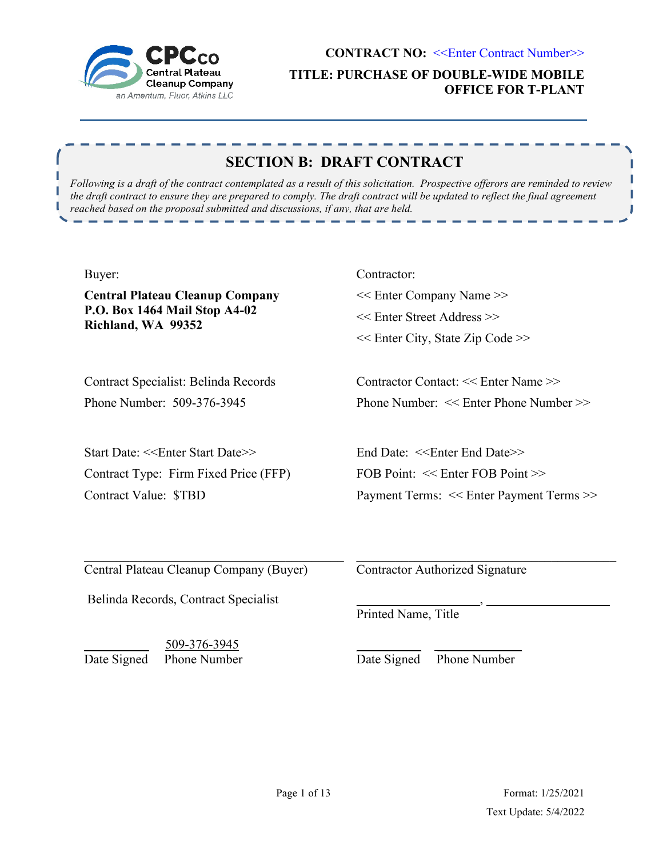

г

**CONTRACT NO: <<Enter Contract Number>> TITLE: PURCHASE OF DOUBLE-WIDE MOBILE OFFICE FOR T-PLANT**

Ш

J

# **SECTION B: DRAFT CONTRACT**

*Following is a draft of the contract contemplated as a result of this solicitation. Prospective offerors are reminded to review the draft contract to ensure they are prepared to comply. The draft contract will be updated to reflect the final agreement reached based on the proposal submitted and discussions, if any, that are held.* 

| Buyer:                                                                          | Contractor:                                    |  |
|---------------------------------------------------------------------------------|------------------------------------------------|--|
| <b>Central Plateau Cleanup Company</b>                                          | << Enter Company Name >>                       |  |
| P.O. Box 1464 Mail Stop A4-02                                                   | << Enter Street Address >>                     |  |
| Richland, WA 99352                                                              | << Enter City, State Zip Code >>               |  |
| Contract Specialist: Belinda Records                                            | Contractor Contact: << Enter Name >>           |  |
| Phone Number: 509-376-3945                                                      | Phone Number: << Enter Phone Number >>         |  |
| Start Date: < <enter date="" start="">&gt;</enter>                              | End Date: < <enter date="" end="">&gt;</enter> |  |
| Contract Type: Firm Fixed Price (FFP)                                           | FOB Point: << Enter FOB Point >>               |  |
| <b>Contract Value: \$TBD</b>                                                    | Payment Terms: << Enter Payment Terms >>       |  |
| Central Plateau Cleanup Company (Buyer)<br>Belinda Records, Contract Specialist | <b>Contractor Authorized Signature</b>         |  |
| 509-376-3945                                                                    | Printed Name, Title                            |  |
| <b>Phone Number</b>                                                             | Phone Number                                   |  |
| Date Signed                                                                     | Date Signed                                    |  |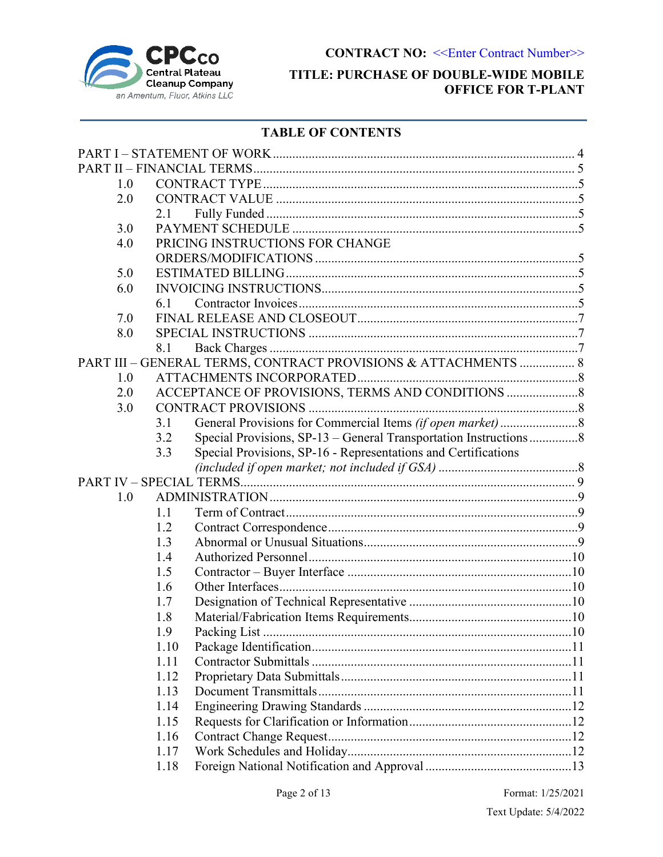

## **TITLE: PURCHASE OF DOUBLE-WIDE MOBILE OFFICE FOR T-PLANT**

## **TABLE OF CONTENTS**

| 1.0 |              |                                                                  |  |
|-----|--------------|------------------------------------------------------------------|--|
| 2.0 |              |                                                                  |  |
|     | 2.1          |                                                                  |  |
| 3.0 |              |                                                                  |  |
| 4.0 |              | PRICING INSTRUCTIONS FOR CHANGE                                  |  |
|     |              |                                                                  |  |
| 5.0 |              |                                                                  |  |
| 6.0 |              |                                                                  |  |
|     | 6.1          |                                                                  |  |
| 7.0 |              |                                                                  |  |
| 8.0 |              |                                                                  |  |
|     | 8.1          |                                                                  |  |
|     |              | PART III - GENERAL TERMS, CONTRACT PROVISIONS & ATTACHMENTS  8   |  |
| 1.0 |              |                                                                  |  |
| 2.0 |              | ACCEPTANCE OF PROVISIONS, TERMS AND CONDITIONS                   |  |
| 3.0 |              |                                                                  |  |
|     | 3.1          |                                                                  |  |
|     | 3.2          | Special Provisions, SP-13 - General Transportation Instructions8 |  |
|     | 3.3          | Special Provisions, SP-16 - Representations and Certifications   |  |
|     |              |                                                                  |  |
|     |              |                                                                  |  |
| 1.0 |              |                                                                  |  |
|     | 1.1          |                                                                  |  |
|     | 1.2          |                                                                  |  |
|     | 1.3          |                                                                  |  |
|     | 1.4          |                                                                  |  |
|     | 1.5          |                                                                  |  |
|     | 1.6          |                                                                  |  |
|     | 1.7          |                                                                  |  |
|     | 1.8          |                                                                  |  |
|     | 1.9          |                                                                  |  |
|     | 1.10         |                                                                  |  |
|     | 1.11         |                                                                  |  |
|     | 1.12<br>1.13 |                                                                  |  |
|     | 1.14         |                                                                  |  |
|     | 1.15         |                                                                  |  |
|     | 1.16         |                                                                  |  |
|     | 1.17         |                                                                  |  |
|     | 1.18         |                                                                  |  |
|     |              |                                                                  |  |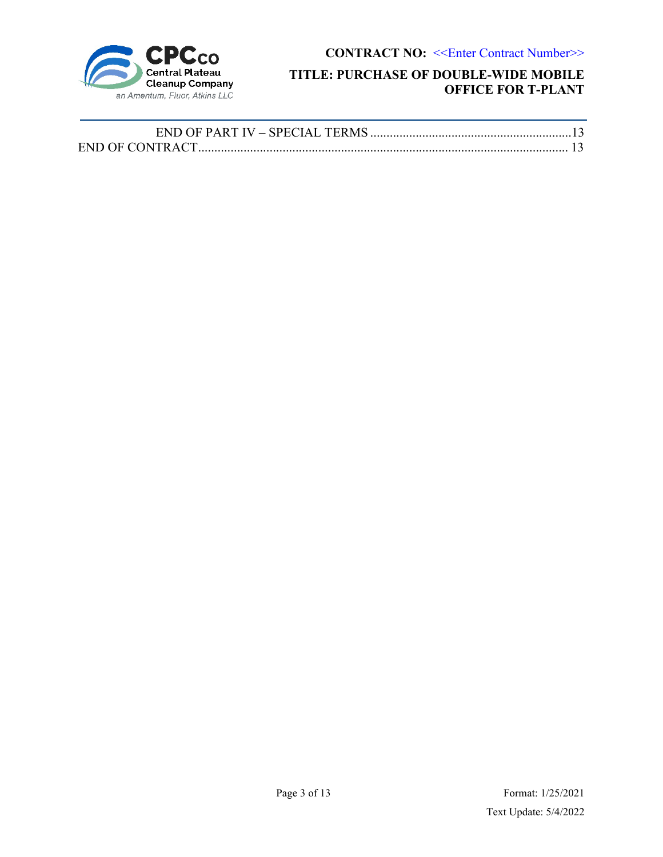

## **TITLE: PURCHASE OF DOUBLE-WIDE MOBILE OFFICE FOR T-PLANT**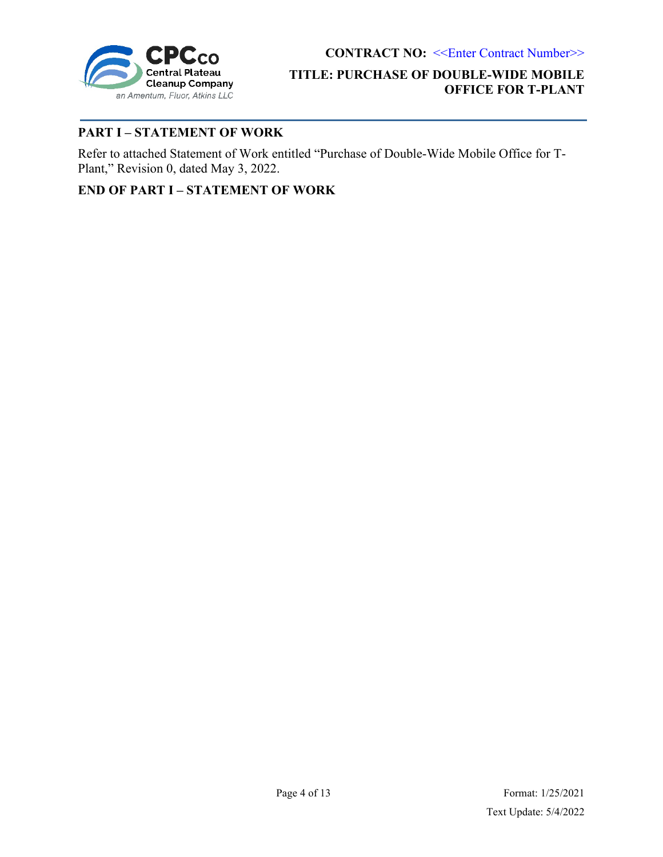

## **TITLE: PURCHASE OF DOUBLE-WIDE MOBILE OFFICE FOR T-PLANT**

## <span id="page-3-0"></span>**PART I – STATEMENT OF WORK**

Refer to attached Statement of Work entitled "Purchase of Double-Wide Mobile Office for T-Plant," Revision 0, dated May 3, 2022.

**END OF PART I – STATEMENT OF WORK**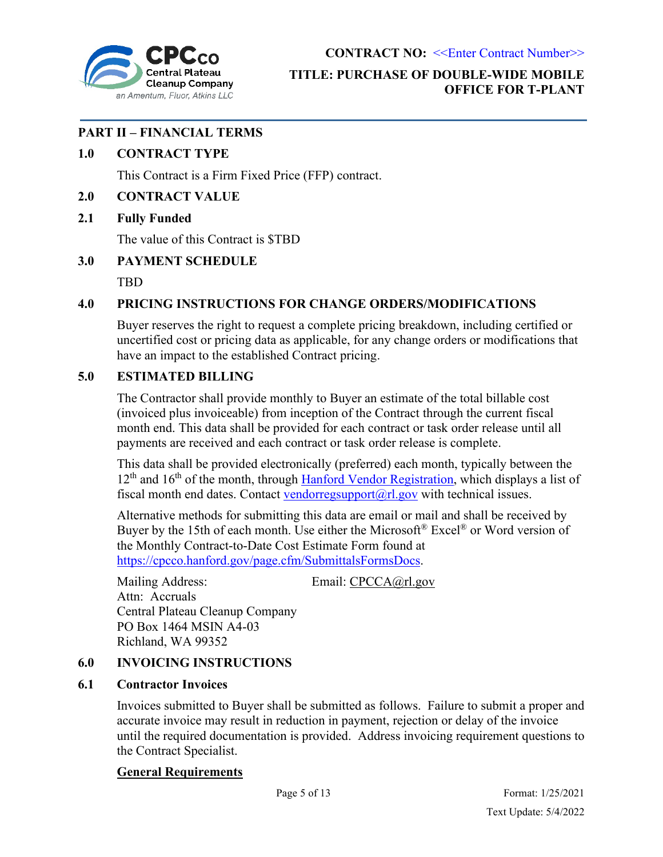

## **TITLE: PURCHASE OF DOUBLE-WIDE MOBILE OFFICE FOR T-PLANT**

## <span id="page-4-0"></span>**PART II – FINANCIAL TERMS**

### <span id="page-4-1"></span>**1.0 CONTRACT TYPE**

This Contract is a Firm Fixed Price (FFP) contract.

### <span id="page-4-2"></span>**2.0 CONTRACT VALUE**

### <span id="page-4-3"></span>**2.1 Fully Funded**

The value of this Contract is \$TBD

### <span id="page-4-4"></span>**3.0 PAYMENT SCHEDULE**

TBD

## <span id="page-4-5"></span>**4.0 PRICING INSTRUCTIONS FOR CHANGE ORDERS/MODIFICATIONS**

Buyer reserves the right to request a complete pricing breakdown, including certified or uncertified cost or pricing data as applicable, for any change orders or modifications that have an impact to the established Contract pricing.

### <span id="page-4-6"></span>**5.0 ESTIMATED BILLING**

The Contractor shall provide monthly to Buyer an estimate of the total billable cost (invoiced plus invoiceable) from inception of the Contract through the current fiscal month end. This data shall be provided for each contract or task order release until all payments are received and each contract or task order release is complete.

This data shall be provided electronically (preferred) each month, typically between the  $12<sup>th</sup>$  and  $16<sup>th</sup>$  of the month, through [Hanford Vendor Registration,](https://vendreg.hanford.gov/) which displays a list of fiscal month end dates. Contact vendorregsupport $(a)$ rl.gov with technical issues.

Alternative methods for submitting this data are email or mail and shall be received by Buyer by the 15th of each month. Use either the Microsoft<sup>®</sup> Excel<sup>®</sup> or Word version of the Monthly Contract-to-Date Cost Estimate Form found at [https://cpcco.hanford.gov/page.cfm/SubmittalsFormsDocs.](https://cpcco.hanford.gov/page.cfm/SubmittalsFormsDocs)

Mailing Address: Email: [CPCCA@rl.gov](mailto:CPCCA@rl.gov) Attn: Accruals Central Plateau Cleanup Company PO Box 1464 MSIN A4-03 Richland, WA 99352

### <span id="page-4-7"></span>**6.0 INVOICING INSTRUCTIONS**

### <span id="page-4-8"></span>**6.1 Contractor Invoices**

Invoices submitted to Buyer shall be submitted as follows. Failure to submit a proper and accurate invoice may result in reduction in payment, rejection or delay of the invoice until the required documentation is provided. Address invoicing requirement questions to the Contract Specialist.

### **General Requirements**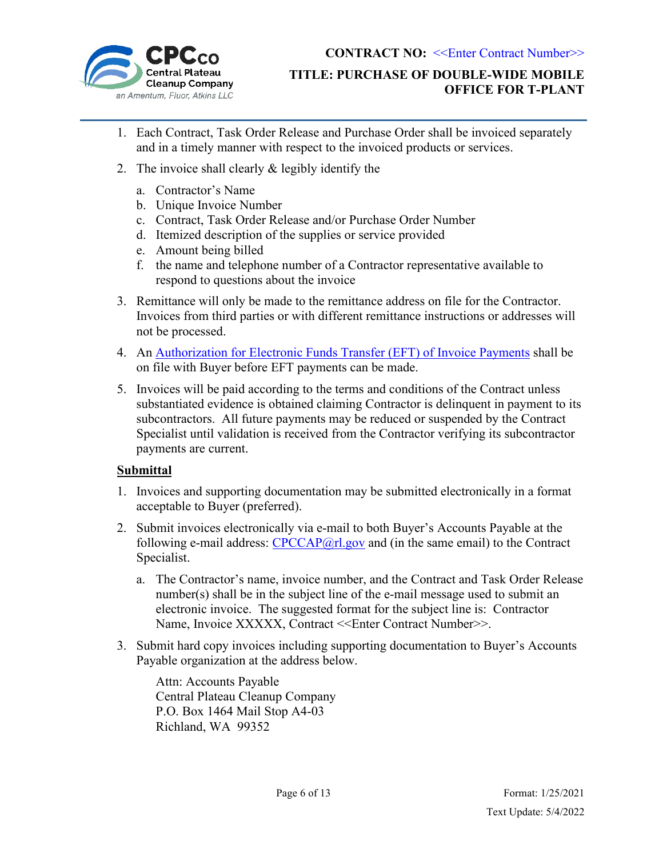

- 1. Each Contract, Task Order Release and Purchase Order shall be invoiced separately and in a timely manner with respect to the invoiced products or services.
- 2. The invoice shall clearly & legibly identify the
	- a. Contractor's Name
	- b. Unique Invoice Number
	- c. Contract, Task Order Release and/or Purchase Order Number
	- d. Itemized description of the supplies or service provided
	- e. Amount being billed
	- f. the name and telephone number of a Contractor representative available to respond to questions about the invoice
- 3. Remittance will only be made to the remittance address on file for the Contractor. Invoices from third parties or with different remittance instructions or addresses will not be processed.
- 4. An [Authorization for Electronic Funds Transfer \(EFT\) of Invoice Payments](https://cpcco.hanford.gov/page.cfm/SubmittalsFormsDocs) shall be on file with Buyer before EFT payments can be made.
- 5. Invoices will be paid according to the terms and conditions of the Contract unless substantiated evidence is obtained claiming Contractor is delinquent in payment to its subcontractors. All future payments may be reduced or suspended by the Contract Specialist until validation is received from the Contractor verifying its subcontractor payments are current.

## **Submittal**

- 1. Invoices and supporting documentation may be submitted electronically in a format acceptable to Buyer (preferred).
- 2. Submit invoices electronically via e-mail to both Buyer's Accounts Payable at the following e-mail address:  $CPCCAP@r1.gov$  and (in the same email) to the Contract Specialist.
	- a. The Contractor's name, invoice number, and the Contract and Task Order Release number(s) shall be in the subject line of the e-mail message used to submit an electronic invoice. The suggested format for the subject line is: Contractor Name, Invoice XXXXX, Contract <<Enter Contract Number>>.
- 3. Submit hard copy invoices including supporting documentation to Buyer's Accounts Payable organization at the address below.

Attn: Accounts Payable Central Plateau Cleanup Company P.O. Box 1464 Mail Stop A4-03 Richland, WA 99352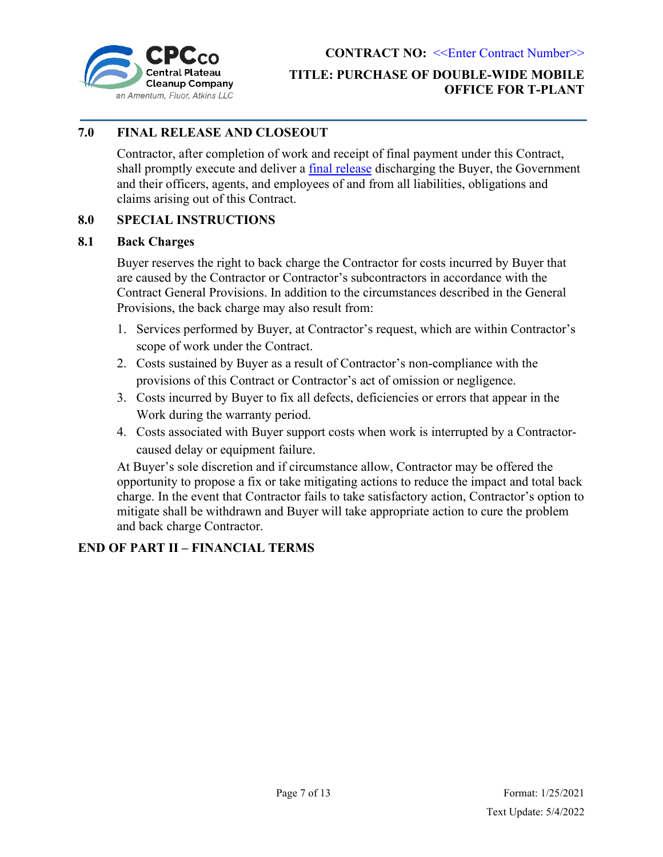

## **CONTRACT NO: << Enter Contract Number>> TITLE: PURCHASE OF DOUBLE-WIDE MOBILE OFFICE FOR T-PLANT**

## <span id="page-6-0"></span>**7.0 FINAL RELEASE AND CLOSEOUT**

Contractor, after completion of work and receipt of final payment under this Contract, shall promptly execute and deliver a [final release](https://cpcco.hanford.gov/page.cfm/SubmittalsFormsDocs) discharging the Buyer, the Government and their officers, agents, and employees of and from all liabilities, obligations and claims arising out of this Contract.

### <span id="page-6-1"></span>**8.0 SPECIAL INSTRUCTIONS**

#### <span id="page-6-2"></span>**8.1 Back Charges**

Buyer reserves the right to back charge the Contractor for costs incurred by Buyer that are caused by the Contractor or Contractor's subcontractors in accordance with the Contract General Provisions. In addition to the circumstances described in the General Provisions, the back charge may also result from:

- 1. Services performed by Buyer, at Contractor's request, which are within Contractor's scope of work under the Contract.
- 2. Costs sustained by Buyer as a result of Contractor's non-compliance with the provisions of this Contract or Contractor's act of omission or negligence.
- 3. Costs incurred by Buyer to fix all defects, deficiencies or errors that appear in the Work during the warranty period.
- 4. Costs associated with Buyer support costs when work is interrupted by a Contractorcaused delay or equipment failure.

At Buyer's sole discretion and if circumstance allow, Contractor may be offered the opportunity to propose a fix or take mitigating actions to reduce the impact and total back charge. In the event that Contractor fails to take satisfactory action, Contractor's option to mitigate shall be withdrawn and Buyer will take appropriate action to cure the problem and back charge Contractor.

### **END OF PART II – FINANCIAL TERMS**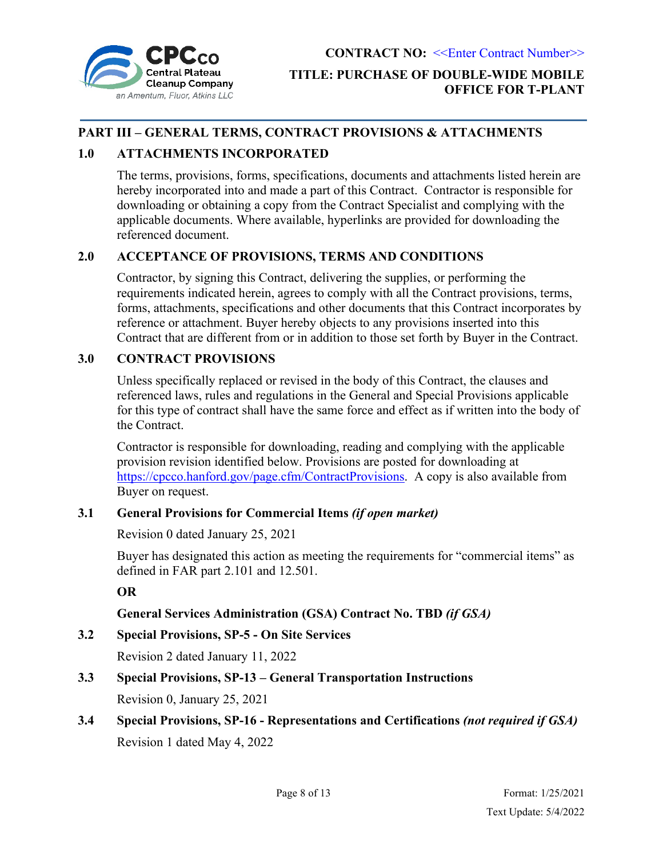

## <span id="page-7-0"></span>**PART III – GENERAL TERMS, CONTRACT PROVISIONS & ATTACHMENTS**

## <span id="page-7-1"></span>**1.0 ATTACHMENTS INCORPORATED**

The terms, provisions, forms, specifications, documents and attachments listed herein are hereby incorporated into and made a part of this Contract. Contractor is responsible for downloading or obtaining a copy from the Contract Specialist and complying with the applicable documents. Where available, hyperlinks are provided for downloading the referenced document.

### <span id="page-7-2"></span>**2.0 ACCEPTANCE OF PROVISIONS, TERMS AND CONDITIONS**

Contractor, by signing this Contract, delivering the supplies, or performing the requirements indicated herein, agrees to comply with all the Contract provisions, terms, forms, attachments, specifications and other documents that this Contract incorporates by reference or attachment. Buyer hereby objects to any provisions inserted into this Contract that are different from or in addition to those set forth by Buyer in the Contract.

### <span id="page-7-3"></span>**3.0 CONTRACT PROVISIONS**

Unless specifically replaced or revised in the body of this Contract, the clauses and referenced laws, rules and regulations in the General and Special Provisions applicable for this type of contract shall have the same force and effect as if written into the body of the Contract.

Contractor is responsible for downloading, reading and complying with the applicable provision revision identified below. Provisions are posted for downloading at [https://cpcco.hanford.gov/page.cfm/ContractProvisions.](https://cpcco.hanford.gov/page.cfm/ContractProvisions) A copy is also available from Buyer on request.

### <span id="page-7-4"></span>**3.1 General Provisions for Commercial Items** *(if open market)*

Revision 0 dated January 25, 2021

Buyer has designated this action as meeting the requirements for "commercial items" as defined in FAR part 2.101 and 12.501.

### **OR**

## **General Services Administration (GSA) Contract No. TBD** *(if GSA)*

### <span id="page-7-5"></span>**3.2 Special Provisions, SP-5 - On Site Services**

Revision 2 dated January 11, 2022

## **3.3 Special Provisions, SP-13 – General Transportation Instructions**

Revision 0, January 25, 2021

# <span id="page-7-6"></span>**3.4 Special Provisions, SP-16 - Representations and Certifications** *(not required if GSA)* Revision 1 dated May 4, 2022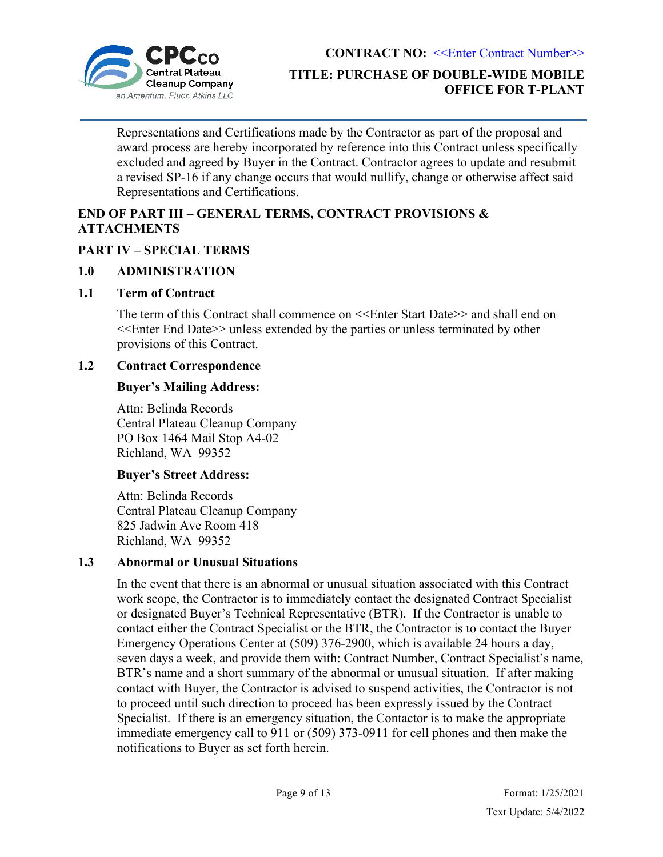

Representations and Certifications made by the Contractor as part of the proposal and award process are hereby incorporated by reference into this Contract unless specifically excluded and agreed by Buyer in the Contract. Contractor agrees to update and resubmit a revised SP-16 if any change occurs that would nullify, change or otherwise affect said Representations and Certifications.

## **END OF PART III – GENERAL TERMS, CONTRACT PROVISIONS & ATTACHMENTS**

## <span id="page-8-0"></span>**PART IV – SPECIAL TERMS**

## <span id="page-8-1"></span>**1.0 ADMINISTRATION**

### <span id="page-8-2"></span>**1.1 Term of Contract**

The term of this Contract shall commence on <<Enter Start Date>> and shall end on <<Enter End Date>> unless extended by the parties or unless terminated by other provisions of this Contract.

## <span id="page-8-3"></span>**1.2 Contract Correspondence**

### **Buyer's Mailing Address:**

Attn: Belinda Records Central Plateau Cleanup Company PO Box 1464 Mail Stop A4-02 Richland, WA 99352

### **Buyer's Street Address:**

Attn: Belinda Records Central Plateau Cleanup Company 825 Jadwin Ave Room 418 Richland, WA 99352

## <span id="page-8-4"></span>**1.3 Abnormal or Unusual Situations**

In the event that there is an abnormal or unusual situation associated with this Contract work scope, the Contractor is to immediately contact the designated Contract Specialist or designated Buyer's Technical Representative (BTR). If the Contractor is unable to contact either the Contract Specialist or the BTR, the Contractor is to contact the Buyer Emergency Operations Center at (509) 376-2900, which is available 24 hours a day, seven days a week, and provide them with: Contract Number, Contract Specialist's name, BTR's name and a short summary of the abnormal or unusual situation. If after making contact with Buyer, the Contractor is advised to suspend activities, the Contractor is not to proceed until such direction to proceed has been expressly issued by the Contract Specialist. If there is an emergency situation, the Contactor is to make the appropriate immediate emergency call to 911 or (509) 373-0911 for cell phones and then make the notifications to Buyer as set forth herein.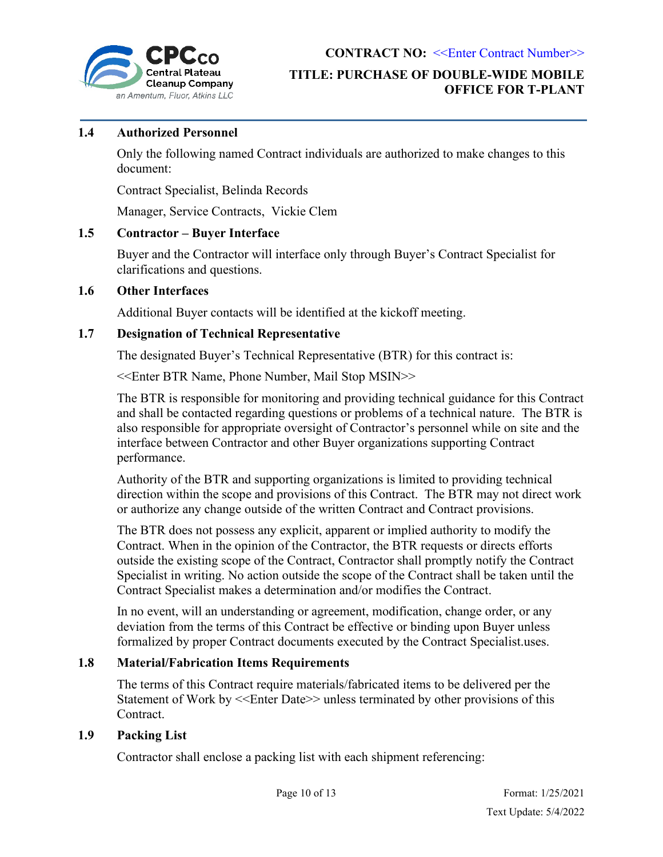

## **TITLE: PURCHASE OF DOUBLE-WIDE MOBILE OFFICE FOR T-PLANT**

### <span id="page-9-0"></span>**1.4 Authorized Personnel**

Only the following named Contract individuals are authorized to make changes to this document:

Contract Specialist, Belinda Records

Manager, Service Contracts, Vickie Clem

#### <span id="page-9-1"></span>**1.5 Contractor – Buyer Interface**

Buyer and the Contractor will interface only through Buyer's Contract Specialist for clarifications and questions.

#### <span id="page-9-2"></span>**1.6 Other Interfaces**

Additional Buyer contacts will be identified at the kickoff meeting.

### <span id="page-9-3"></span>**1.7 Designation of Technical Representative**

The designated Buyer's Technical Representative (BTR) for this contract is:

<<Enter BTR Name, Phone Number, Mail Stop MSIN>>

The BTR is responsible for monitoring and providing technical guidance for this Contract and shall be contacted regarding questions or problems of a technical nature. The BTR is also responsible for appropriate oversight of Contractor's personnel while on site and the interface between Contractor and other Buyer organizations supporting Contract performance.

Authority of the BTR and supporting organizations is limited to providing technical direction within the scope and provisions of this Contract. The BTR may not direct work or authorize any change outside of the written Contract and Contract provisions.

The BTR does not possess any explicit, apparent or implied authority to modify the Contract. When in the opinion of the Contractor, the BTR requests or directs efforts outside the existing scope of the Contract, Contractor shall promptly notify the Contract Specialist in writing. No action outside the scope of the Contract shall be taken until the Contract Specialist makes a determination and/or modifies the Contract.

In no event, will an understanding or agreement, modification, change order, or any deviation from the terms of this Contract be effective or binding upon Buyer unless formalized by proper Contract documents executed by the Contract Specialist.uses.

### <span id="page-9-4"></span>**1.8 Material/Fabrication Items Requirements**

The terms of this Contract require materials/fabricated items to be delivered per the Statement of Work by <<Enter Date>> unless terminated by other provisions of this Contract.

### <span id="page-9-5"></span>**1.9 Packing List**

Contractor shall enclose a packing list with each shipment referencing: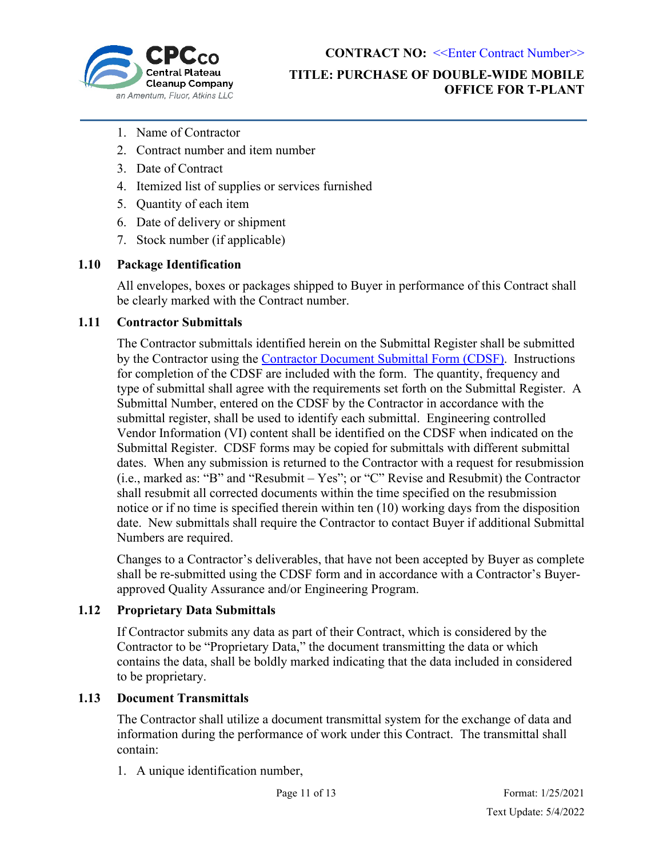

## **TITLE: PURCHASE OF DOUBLE-WIDE MOBILE OFFICE FOR T-PLANT**

- 1. Name of Contractor
- 2. Contract number and item number
- 3. Date of Contract
- 4. Itemized list of supplies or services furnished
- 5. Quantity of each item
- 6. Date of delivery or shipment
- 7. Stock number (if applicable)

### <span id="page-10-0"></span>**1.10 Package Identification**

All envelopes, boxes or packages shipped to Buyer in performance of this Contract shall be clearly marked with the Contract number.

#### <span id="page-10-1"></span>**1.11 Contractor Submittals**

The Contractor submittals identified herein on the Submittal Register shall be submitted by the Contractor using the Contractor [Document Submittal Form \(CDSF\).](https://cpcco.hanford.gov/page.cfm/SubmittalsFormsDocs) Instructions for completion of the CDSF are included with the form. The quantity, frequency and type of submittal shall agree with the requirements set forth on the Submittal Register. A Submittal Number, entered on the CDSF by the Contractor in accordance with the submittal register, shall be used to identify each submittal. Engineering controlled Vendor Information (VI) content shall be identified on the CDSF when indicated on the Submittal Register. CDSF forms may be copied for submittals with different submittal dates. When any submission is returned to the Contractor with a request for resubmission (i.e., marked as: "B" and "Resubmit – Yes"; or "C" Revise and Resubmit) the Contractor shall resubmit all corrected documents within the time specified on the resubmission notice or if no time is specified therein within ten (10) working days from the disposition date. New submittals shall require the Contractor to contact Buyer if additional Submittal Numbers are required.

Changes to a Contractor's deliverables, that have not been accepted by Buyer as complete shall be re-submitted using the CDSF form and in accordance with a Contractor's Buyerapproved Quality Assurance and/or Engineering Program.

### <span id="page-10-2"></span>**1.12 Proprietary Data Submittals**

If Contractor submits any data as part of their Contract, which is considered by the Contractor to be "Proprietary Data," the document transmitting the data or which contains the data, shall be boldly marked indicating that the data included in considered to be proprietary.

#### <span id="page-10-3"></span>**1.13 Document Transmittals**

The Contractor shall utilize a document transmittal system for the exchange of data and information during the performance of work under this Contract. The transmittal shall contain:

1. A unique identification number,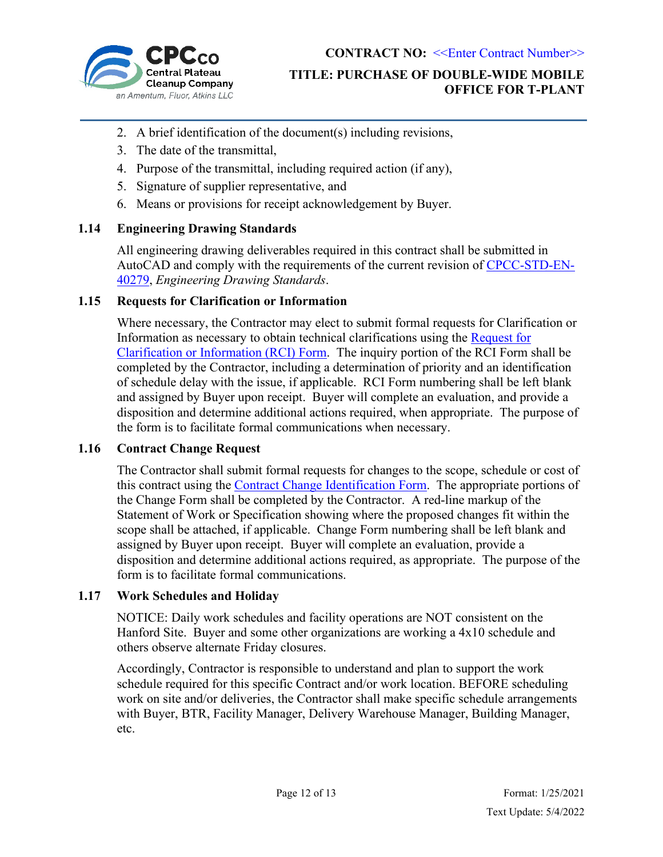

## **TITLE: PURCHASE OF DOUBLE-WIDE MOBILE OFFICE FOR T-PLANT**

- 2. A brief identification of the document(s) including revisions,
- 3. The date of the transmittal,
- 4. Purpose of the transmittal, including required action (if any),
- 5. Signature of supplier representative, and
- 6. Means or provisions for receipt acknowledgement by Buyer.

### <span id="page-11-0"></span>**1.14 Engineering Drawing Standards**

All engineering drawing deliverables required in this contract shall be submitted in AutoCAD and comply with the requirements of the current revision of [CPCC-STD-EN-](https://cpcco.hanford.gov/files.cfm/CPCC-STD-EN-40279.pdf)[40279,](https://cpcco.hanford.gov/files.cfm/CPCC-STD-EN-40279.pdf) *Engineering Drawing Standards*.

### <span id="page-11-1"></span>**1.15 Requests for Clarification or Information**

Where necessary, the Contractor may elect to submit formal requests for Clarification or Information as necessary to obtain technical clarifications using the [Request for](https://cpcco.hanford.gov/page.cfm/SubmittalsFormsDocs)  [Clarification or Information \(RCI\) Form.](https://cpcco.hanford.gov/page.cfm/SubmittalsFormsDocs) The inquiry portion of the RCI Form shall be completed by the Contractor, including a determination of priority and an identification of schedule delay with the issue, if applicable. RCI Form numbering shall be left blank and assigned by Buyer upon receipt. Buyer will complete an evaluation, and provide a disposition and determine additional actions required, when appropriate. The purpose of the form is to facilitate formal communications when necessary.

### <span id="page-11-2"></span>**1.16 Contract Change Request**

The Contractor shall submit formal requests for changes to the scope, schedule or cost of this contract using the [Contract Change Identification Form.](https://cpcco.hanford.gov/page.cfm/SubmittalsFormsDocs) The appropriate portions of the Change Form shall be completed by the Contractor. A red-line markup of the Statement of Work or Specification showing where the proposed changes fit within the scope shall be attached, if applicable. Change Form numbering shall be left blank and assigned by Buyer upon receipt. Buyer will complete an evaluation, provide a disposition and determine additional actions required, as appropriate. The purpose of the form is to facilitate formal communications.

### <span id="page-11-3"></span>**1.17 Work Schedules and Holiday**

NOTICE: Daily work schedules and facility operations are NOT consistent on the Hanford Site. Buyer and some other organizations are working a 4x10 schedule and others observe alternate Friday closures.

Accordingly, Contractor is responsible to understand and plan to support the work schedule required for this specific Contract and/or work location. BEFORE scheduling work on site and/or deliveries, the Contractor shall make specific schedule arrangements with Buyer, BTR, Facility Manager, Delivery Warehouse Manager, Building Manager, etc.